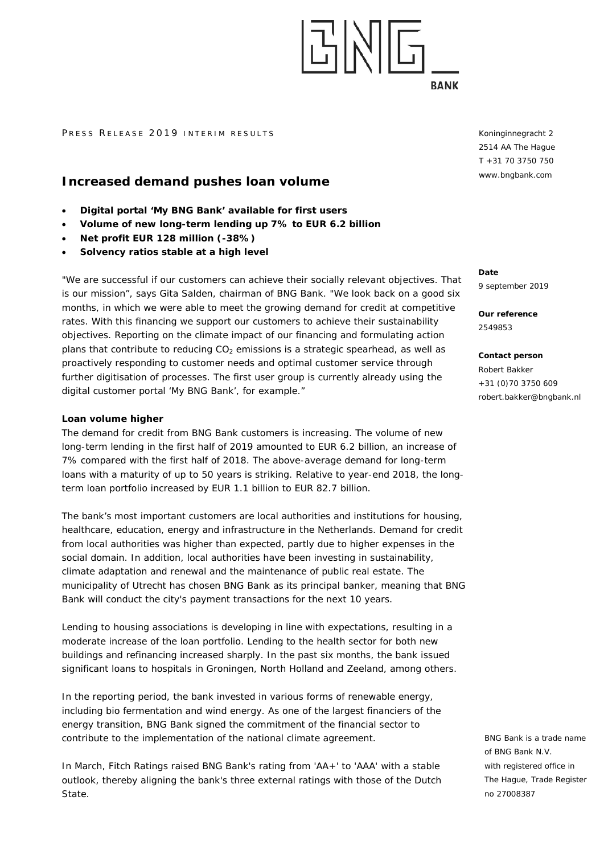

#### PRESS RELEASE 2019 INTERIM RESULTS

# **Increased demand pushes loan volume**

- **Digital portal 'My BNG Bank' available for first users**
- **Volume of new long-term lending up 7% to EUR 6.2 billion**
- **Net profit EUR 128 million (-38%)**
- **Solvency ratios stable at a high level**

"We are successful if our customers can achieve their socially relevant objectives. That is our mission", says Gita Salden, chairman of BNG Bank. "We look back on a good six months, in which we were able to meet the growing demand for credit at competitive rates. With this financing we support our customers to achieve their sustainability objectives. Reporting on the climate impact of our financing and formulating action plans that contribute to reducing  $CO<sub>2</sub>$  emissions is a strategic spearhead, as well as proactively responding to customer needs and optimal customer service through further digitisation of processes. The first user group is currently already using the digital customer portal 'My BNG Bank', for example."

### **Loan volume higher**

The demand for credit from BNG Bank customers is increasing. The volume of new long-term lending in the first half of 2019 amounted to EUR 6.2 billion, an increase of 7% compared with the first half of 2018. The above-average demand for long-term loans with a maturity of up to 50 years is striking. Relative to year-end 2018, the longterm loan portfolio increased by EUR 1.1 billion to EUR 82.7 billion.

The bank's most important customers are local authorities and institutions for housing, healthcare, education, energy and infrastructure in the Netherlands. Demand for credit from local authorities was higher than expected, partly due to higher expenses in the social domain. In addition, local authorities have been investing in sustainability, climate adaptation and renewal and the maintenance of public real estate. The municipality of Utrecht has chosen BNG Bank as its principal banker, meaning that BNG Bank will conduct the city's payment transactions for the next 10 years.

Lending to housing associations is developing in line with expectations, resulting in a moderate increase of the loan portfolio. Lending to the health sector for both new buildings and refinancing increased sharply. In the past six months, the bank issued significant loans to hospitals in Groningen, North Holland and Zeeland, among others.

In the reporting period, the bank invested in various forms of renewable energy, including bio fermentation and wind energy. As one of the largest financiers of the energy transition, BNG Bank signed the commitment of the financial sector to contribute to the implementation of the national climate agreement.

In March, Fitch Ratings raised BNG Bank's rating from 'AA+' to 'AAA' with a stable outlook, thereby aligning the bank's three external ratings with those of the Dutch State.

Koninginnegracht 2 2514 AA The Hague T +31 70 3750 750 www.bngbank.com

**Date** 9 september 2019

**Our reference** 2549853

**Contact person** Robert Bakker +31 (0)70 3750 609 robert.bakker@bngbank.nl

BNG Bank is a trade name of BNG Bank N.V. with registered office in The Hague, Trade Register no 27008387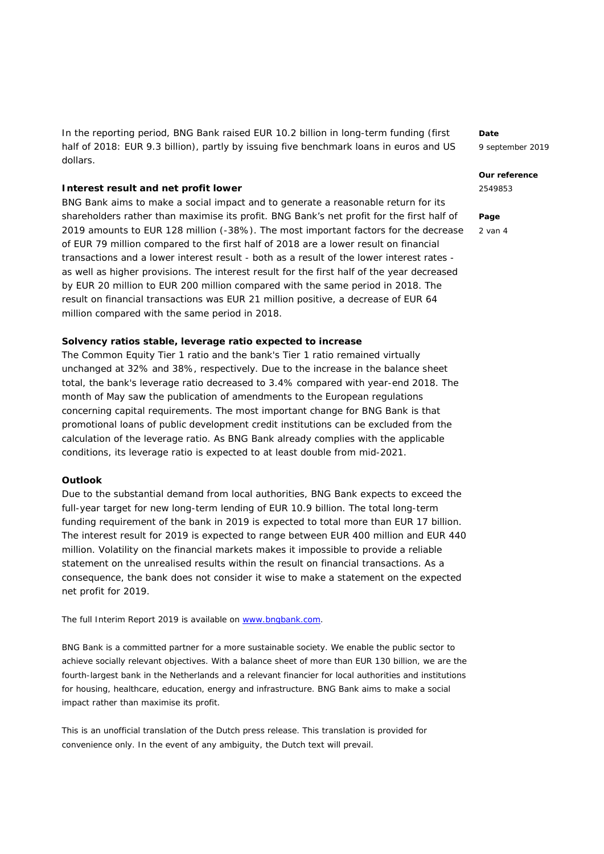In the reporting period, BNG Bank raised EUR 10.2 billion in long-term funding (first half of 2018: EUR 9.3 billion), partly by issuing five benchmark loans in euros and US dollars.

#### **Interest result and net profit lower**

BNG Bank aims to make a social impact and to generate a reasonable return for its shareholders rather than maximise its profit. BNG Bank's net profit for the first half of 2019 amounts to EUR 128 million (-38%). The most important factors for the decrease of EUR 79 million compared to the first half of 2018 are a lower result on financial transactions and a lower interest result - both as a result of the lower interest rates as well as higher provisions. The interest result for the first half of the year decreased by EUR 20 million to EUR 200 million compared with the same period in 2018. The result on financial transactions was EUR 21 million positive, a decrease of EUR 64 million compared with the same period in 2018.

## **Solvency ratios stable, leverage ratio expected to increase**

The Common Equity Tier 1 ratio and the bank's Tier 1 ratio remained virtually unchanged at 32% and 38%, respectively. Due to the increase in the balance sheet total, the bank's leverage ratio decreased to 3.4% compared with year-end 2018. The month of May saw the publication of amendments to the European regulations concerning capital requirements. The most important change for BNG Bank is that promotional loans of public development credit institutions can be excluded from the calculation of the leverage ratio. As BNG Bank already complies with the applicable conditions, its leverage ratio is expected to at least double from mid-2021.

### **Outlook**

Due to the substantial demand from local authorities, BNG Bank expects to exceed the full-year target for new long-term lending of EUR 10.9 billion. The total long-term funding requirement of the bank in 2019 is expected to total more than EUR 17 billion. The interest result for 2019 is expected to range between EUR 400 million and EUR 440 million. Volatility on the financial markets makes it impossible to provide a reliable statement on the unrealised results within the result on financial transactions. As a consequence, the bank does not consider it wise to make a statement on the expected net profit for 2019.

*The full Interim Report 2019 is available on [www.bngbank.com.](http://www.bngbank.com/)* 

*BNG Bank is a committed partner for a more sustainable society. We enable the public sector to achieve socially relevant objectives. With a balance sheet of more than EUR 130 billion, we are the fourth-largest bank in the Netherlands and a relevant financier for local authorities and institutions for housing, healthcare, education, energy and infrastructure. BNG Bank aims to make a social impact rather than maximise its profit.*

*This is an unofficial translation of the Dutch press release. This translation is provided for convenience only. In the event of any ambiguity, the Dutch text will prevail.*

**Date**

9 september 2019

#### **Our reference**

2549853

#### **Page**

2 van 4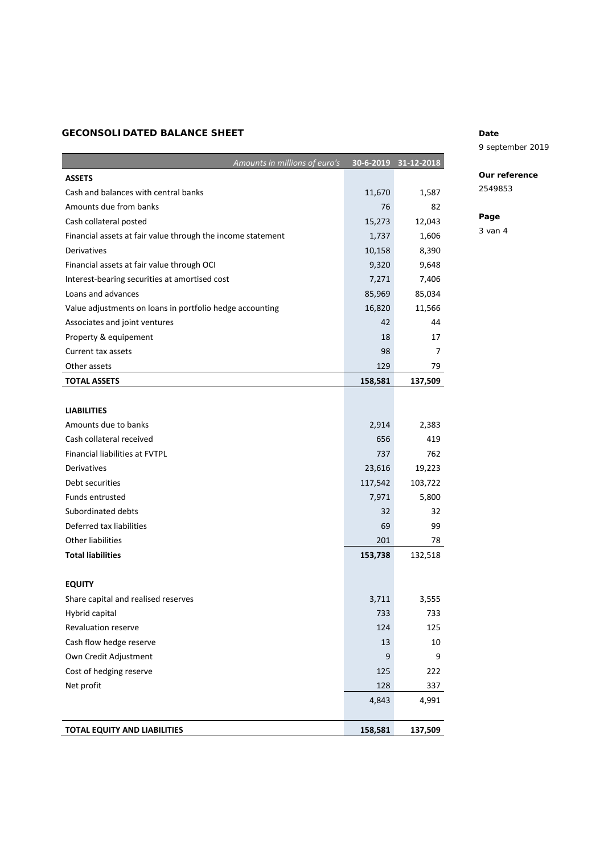# **GECONSOLIDATED BALANCE SHEET**

| Amounts in millions of euro's                               | 30-6-2019 | 31-12-2018 |
|-------------------------------------------------------------|-----------|------------|
| <b>ASSETS</b>                                               |           |            |
| Cash and balances with central banks                        | 11,670    | 1,587      |
| Amounts due from banks                                      | 76        | 82         |
| Cash collateral posted                                      | 15,273    | 12,043     |
| Financial assets at fair value through the income statement | 1,737     | 1,606      |
| Derivatives                                                 | 10,158    | 8,390      |
| Financial assets at fair value through OCI                  | 9,320     | 9,648      |
| Interest-bearing securities at amortised cost               | 7,271     | 7,406      |
| Loans and advances                                          | 85,969    | 85,034     |
| Value adjustments on loans in portfolio hedge accounting    | 16,820    | 11,566     |
| Associates and joint ventures                               | 42        | 44         |
| Property & equipement                                       | 18        | 17         |
| Current tax assets                                          | 98        | 7          |
| Other assets                                                | 129       | 79         |
| <b>TOTAL ASSETS</b>                                         | 158,581   | 137,509    |
|                                                             |           |            |
| <b>LIABILITIES</b>                                          |           |            |
| Amounts due to banks                                        | 2,914     | 2,383      |
| Cash collateral received                                    | 656       | 419        |
| <b>Financial liabilities at FVTPL</b>                       | 737       | 762        |
| <b>Derivatives</b>                                          | 23,616    | 19,223     |
| Debt securities                                             | 117,542   | 103,722    |
| Funds entrusted                                             | 7,971     | 5,800      |
| Subordinated debts                                          | 32        | 32         |
| Deferred tax liabilities                                    | 69        | 99         |
| <b>Other liabilities</b>                                    | 201       | 78         |
| <b>Total liabilities</b>                                    | 153,738   | 132,518    |
|                                                             |           |            |
| <b>EQUITY</b>                                               |           |            |
| Share capital and realised reserves                         | 3,711     | 3,555      |
| Hybrid capital                                              | 733       | 733        |
| Revaluation reserve                                         | 124       | 125        |
| Cash flow hedge reserve                                     | 13        | 10         |
| Own Credit Adjustment                                       | 9         | 9          |
| Cost of hedging reserve                                     | 125       | 222        |
| Net profit                                                  | 128       | 337        |
|                                                             | 4,843     | 4,991      |
|                                                             |           |            |
| TOTAL EQUITY AND LIABILITIES                                | 158,581   | 137,509    |

## **Date**

## 9 september 2019

# **Our reference**

2549853

# **Page**

3 van 4